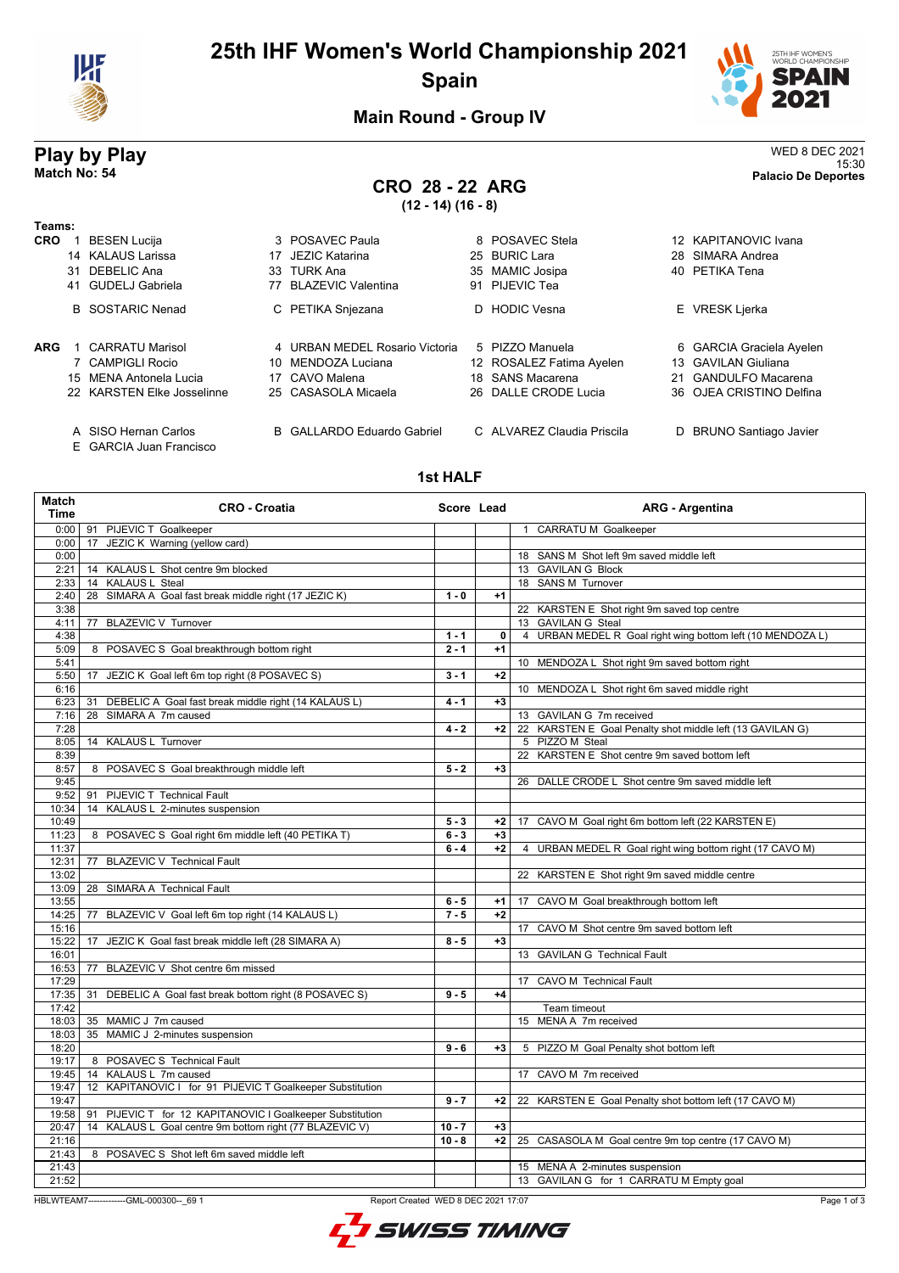

# **25th IHF Women's World Championship 2021 Spain**



# **Main Round - Group IV**

# **Play by Play** WED 8 DEC 2021

E GARCIA Juan Francisco

### 15:30 **Match No: 54 Palacio De Deportes CRO 28 - 22 ARG (12 - 14) (16 - 8)**

| Teams:     |    |                            |    |                                |                          |                          |
|------------|----|----------------------------|----|--------------------------------|--------------------------|--------------------------|
| <b>CRO</b> |    | <b>BESEN Lucija</b>        |    | 3 POSAVEC Paula                | 8 POSAVEC Stela          | 12 KAPITANOVIC Ivana     |
|            |    | 14 KALAUS Larissa          | 17 | JEZIC Katarina                 | 25 BURIC Lara            | 28 SIMARA Andrea         |
|            | 31 | DEBELIC Ana                |    | 33 TURK Ana                    | 35 MAMIC Josipa          | 40 PETIKA Tena           |
|            |    | 41 GUDELJ Gabriela         | 77 | <b>BLAZEVIC Valentina</b>      | 91 PIJEVIC Tea           |                          |
|            |    | <b>B</b> SOSTARIC Nenad    |    | C PETIKA Snjezana              | D HODIC Vesna            | E VRESK Ljerka           |
| <b>ARG</b> |    | <b>CARRATU Marisol</b>     |    | 4 URBAN MEDEL Rosario Victoria | 5 PIZZO Manuela          | 6 GARCIA Graciela Ayelen |
|            |    | 7 CAMPIGLI Rocio           |    | 10 MENDOZA Luciana             | 12 ROSALEZ Fatima Ayelen | 13 GAVILAN Giuliana      |
|            |    | 15 MENA Antonela Lucia     |    | 17 CAVO Malena                 | 18 SANS Macarena         | 21 GANDULFO Macarena     |
|            |    | 22 KARSTEN Elke Josselinne |    | 25 CASASOLA Micaela            | 26 DALLE CRODE Lucia     | 36 OJEA CRISTINO Delfina |

**1st HALF**

A SISO Hernan Carlos **B** GALLARDO Eduardo Gabriel C ALVAREZ Claudia Priscila D BRUNO Santiago Javier

| <b>Match</b><br>Time | <b>CRO - Croatia</b>                                                             | Score Lead |      | <b>ARG - Argentina</b>                                     |
|----------------------|----------------------------------------------------------------------------------|------------|------|------------------------------------------------------------|
|                      | 0:00   91 PIJEVIC T Goalkeeper                                                   |            |      | 1 CARRATU M Goalkeeper                                     |
| 0:00                 | 17 JEZIC K Warning (yellow card)                                                 |            |      |                                                            |
| 0:00                 |                                                                                  |            |      | 18 SANS M Shot left 9m saved middle left                   |
| 2:21                 | 14 KALAUS L Shot centre 9m blocked                                               |            |      | 13 GAVILAN G Block                                         |
| 2:33                 | 14 KALAUS L Steal                                                                |            |      | 18 SANS M Turnover                                         |
| 2:40                 | 28 SIMARA A Goal fast break middle right (17 JEZIC K)                            | $1 - 0$    | $+1$ |                                                            |
| 3:38                 |                                                                                  |            |      | 22 KARSTEN E Shot right 9m saved top centre                |
| 4:11                 | 77 BLAZEVIC V Turnover                                                           |            |      | 13 GAVILAN G Steal                                         |
| 4:38                 |                                                                                  | $1 - 1$    | 0    | 4 URBAN MEDEL R Goal right wing bottom left (10 MENDOZA L) |
| 5:09                 | 8 POSAVEC S Goal breakthrough bottom right                                       | $2 - 1$    | $+1$ |                                                            |
| 5:41                 |                                                                                  |            |      | 10 MENDOZA L Shot right 9m saved bottom right              |
| 5:50                 | 17 JEZIC K Goal left 6m top right (8 POSAVEC S)                                  | $3 - 1$    | $+2$ |                                                            |
| 6:16                 |                                                                                  |            |      | 10 MENDOZA L Shot right 6m saved middle right              |
| 6:23                 | 31 DEBELIC A Goal fast break middle right (14 KALAUS L)<br>28 SIMARA A 7m caused | $4 - 1$    | $+3$ |                                                            |
| 7:16                 |                                                                                  |            |      | 13 GAVILAN G 7m received                                   |
| 7:28                 |                                                                                  | $4 - 2$    | $+2$ | 22 KARSTEN E Goal Penalty shot middle left (13 GAVILAN G)  |
| 8:05                 | 14 KALAUS L Turnover                                                             |            |      | 5 PIZZOM Steal                                             |
| 8:39                 |                                                                                  | $5 - 2$    | $+3$ | 22 KARSTEN E Shot centre 9m saved bottom left              |
| 8:57<br>9:45         | 8 POSAVEC S Goal breakthrough middle left                                        |            |      | 26 DALLE CRODE L Shot centre 9m saved middle left          |
| 9:52                 | 91 PIJEVIC T Technical Fault                                                     |            |      |                                                            |
| 10:34                | 14 KALAUS L 2-minutes suspension                                                 |            |      |                                                            |
| 10:49                |                                                                                  | $5 - 3$    | +2   | 17 CAVO M Goal right 6m bottom left (22 KARSTEN E)         |
| 11:23                | 8 POSAVEC S Goal right 6m middle left (40 PETIKA T)                              | $6 - 3$    | $+3$ |                                                            |
| 11:37                |                                                                                  | $6 - 4$    | $+2$ | 4 URBAN MEDEL R Goal right wing bottom right (17 CAVO M)   |
| 12:31                | 77 BLAZEVIC V Technical Fault                                                    |            |      |                                                            |
| 13:02                |                                                                                  |            |      | 22 KARSTEN E Shot right 9m saved middle centre             |
| 13:09                | 28 SIMARA A Technical Fault                                                      |            |      |                                                            |
| 13:55                |                                                                                  | $6 - 5$    | $+1$ | 17 CAVO M Goal breakthrough bottom left                    |
| 14:25                | 77 BLAZEVIC V Goal left 6m top right (14 KALAUS L)                               | $7 - 5$    | $+2$ |                                                            |
| 15:16                |                                                                                  |            |      | 17 CAVO M Shot centre 9m saved bottom left                 |
| 15:22                | 17 JEZIC K Goal fast break middle left (28 SIMARA A)                             | $8 - 5$    | $+3$ |                                                            |
| 16:01                |                                                                                  |            |      | 13 GAVILAN G Technical Fault                               |
| 16:53                | 77 BLAZEVIC V Shot centre 6m missed                                              |            |      |                                                            |
| 17:29                |                                                                                  |            |      | 17 CAVO M Technical Fault                                  |
| 17:35                | 31 DEBELIC A Goal fast break bottom right (8 POSAVEC S)                          | $9 - 5$    | $+4$ |                                                            |
| 17:42                |                                                                                  |            |      | Team timeout                                               |
| 18:03                | 35 MAMIC J 7m caused                                                             |            |      | 15 MENA A 7m received                                      |
| 18:03                | 35 MAMIC J 2-minutes suspension                                                  |            |      |                                                            |
| 18:20                |                                                                                  | $9 - 6$    | $+3$ | 5 PIZZO M Goal Penalty shot bottom left                    |
| 19:17                | 8 POSAVEC S Technical Fault                                                      |            |      |                                                            |
| 19:45                | 14 KALAUS L 7m caused                                                            |            |      | 17 CAVO M 7m received                                      |
| 19:47                | 12 KAPITANOVIC I for 91 PIJEVIC T Goalkeeper Substitution                        |            |      |                                                            |
| 19:47                |                                                                                  | $9 - 7$    | $+2$ | 22 KARSTEN E Goal Penalty shot bottom left (17 CAVO M)     |
| 19:58                | 91 PIJEVIC T for 12 KAPITANOVIC I Goalkeeper Substitution                        |            |      |                                                            |
| 20:47                | 14 KALAUS L Goal centre 9m bottom right (77 BLAZEVIC V)                          | $10 - 7$   | $+3$ |                                                            |
| 21:16                |                                                                                  | $10 - 8$   | $+2$ | 25 CASASOLA M Goal centre 9m top centre (17 CAVO M)        |
| 21:43                | 8 POSAVEC S Shot left 6m saved middle left                                       |            |      |                                                            |
| 21:43                |                                                                                  |            |      | 15 MENA A 2-minutes suspension                             |
| 21:52                |                                                                                  |            |      | 13 GAVILAN G for 1 CARRATU M Empty goal                    |

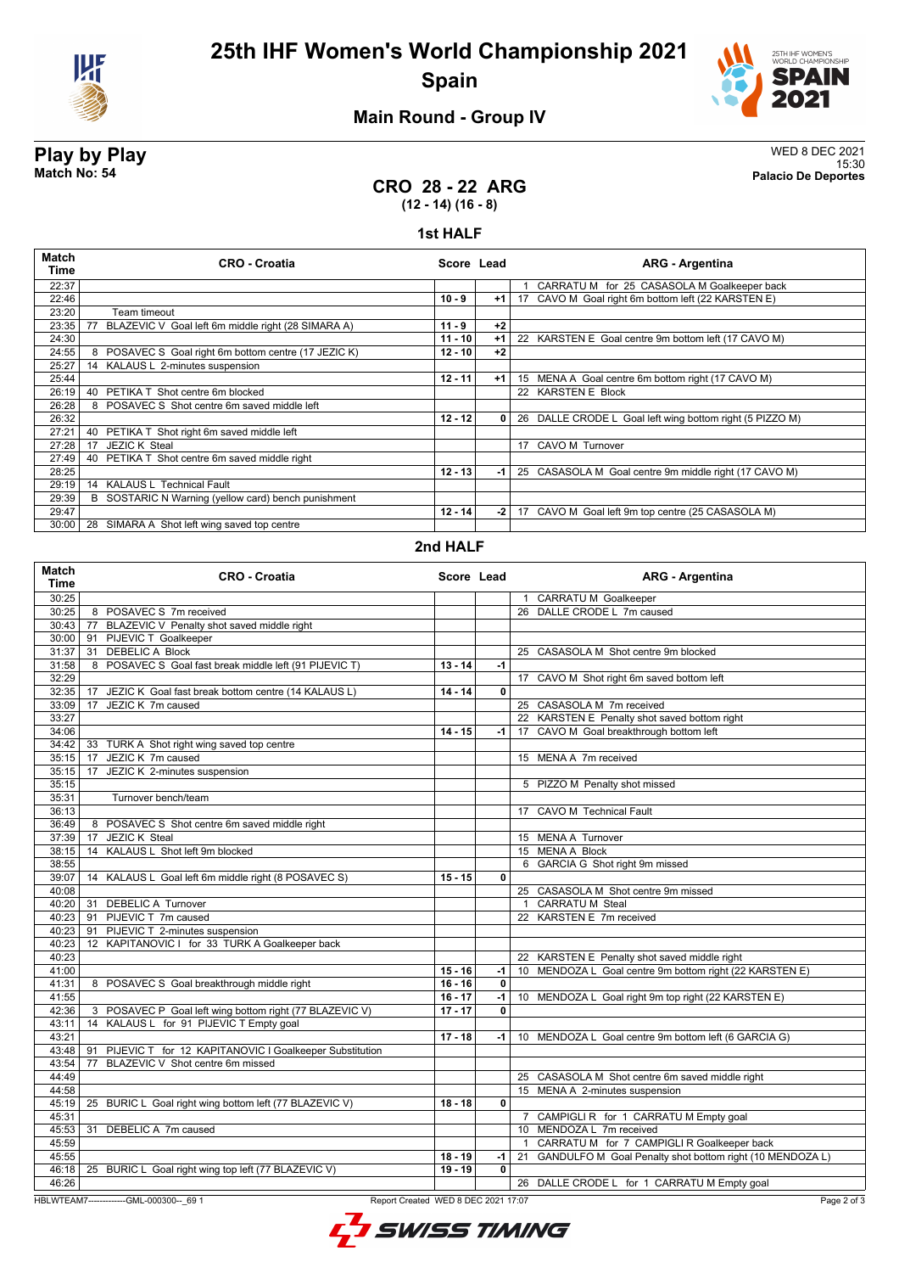



# **Main Round - Group IV**

**Play by Play** WED 8 DEC 2021 15:30 **Match No: 54 Palacio De Deportes**

## **CRO 28 - 22 ARG (12 - 14) (16 - 8)**

#### **1st HALF**

| Match<br>Time | <b>CRO - Croatia</b>                                     | Score Lead |      | <b>ARG - Argentina</b>                                   |
|---------------|----------------------------------------------------------|------------|------|----------------------------------------------------------|
| 22:37         |                                                          |            |      | CARRATU M for 25 CASASOLA M Goalkeeper back              |
| 22:46         |                                                          | $10 - 9$   | $+1$ | 17 CAVO M Goal right 6m bottom left (22 KARSTEN E)       |
| 23:20         | Team timeout                                             |            |      |                                                          |
| 23:35         | BLAZEVIC V Goal left 6m middle right (28 SIMARA A)<br>77 | $11 - 9$   | $+2$ |                                                          |
| 24:30         |                                                          | $11 - 10$  | $+1$ | 22 KARSTEN E Goal centre 9m bottom left (17 CAVO M)      |
| 24:55         | POSAVEC S Goal right 6m bottom centre (17 JEZIC K)<br>8  | $12 - 10$  | $+2$ |                                                          |
| 25:27         | 14 KALAUS L 2-minutes suspension                         |            |      |                                                          |
| 25:44         |                                                          | $12 - 11$  | $+1$ | 15 MENA A Goal centre 6m bottom right (17 CAVO M)        |
| 26:19         | PETIKA T Shot centre 6m blocked<br>40                    |            |      | 22 KARSTEN E Block                                       |
| 26:28         | 8 POSAVEC S Shot centre 6m saved middle left             |            |      |                                                          |
| 26:32         |                                                          | $12 - 12$  | 0    | 26 DALLE CRODE L Goal left wing bottom right (5 PIZZO M) |
| 27:21         | PETIKA T Shot right 6m saved middle left<br>40           |            |      |                                                          |
| 27:28         | <b>JEZIC K Steal</b><br>17                               |            |      | 17 CAVO M Turnover                                       |
| 27:49         | PETIKA T Shot centre 6m saved middle right<br>40         |            |      |                                                          |
| 28:25         |                                                          | $12 - 13$  | -1   | 25 CASASOLA M Goal centre 9m middle right (17 CAVO M)    |
| 29:19         | 14 KALAUS L Technical Fault                              |            |      |                                                          |
| 29:39         | B SOSTARIC N Warning (yellow card) bench punishment      |            |      |                                                          |
| 29:47         |                                                          | $12 - 14$  | -2   | 17 CAVO M Goal left 9m top centre (25 CASASOLA M)        |
| 30:00         | SIMARA A Shot left wing saved top centre<br>28           |            |      |                                                          |

### **2nd HALF**

| <b>Match</b><br>Time                                                                          | <b>CRO - Croatia</b>                                         | Score Lead |                         | <b>ARG - Argentina</b>                                         |  |  |
|-----------------------------------------------------------------------------------------------|--------------------------------------------------------------|------------|-------------------------|----------------------------------------------------------------|--|--|
| 30:25                                                                                         |                                                              |            |                         | 1 CARRATU M Goalkeeper                                         |  |  |
| 30:25                                                                                         | 8 POSAVEC S 7m received                                      |            |                         | 26 DALLE CRODE L 7m caused                                     |  |  |
|                                                                                               | 30:43   77 BLAZEVIC V Penalty shot saved middle right        |            |                         |                                                                |  |  |
|                                                                                               | 30:00 91 PIJEVIC T Goalkeeper                                |            |                         |                                                                |  |  |
| 31:37                                                                                         | 31 DEBELIC A Block                                           |            |                         | 25 CASASOLA M Shot centre 9m blocked                           |  |  |
| 31:58                                                                                         | 8 POSAVEC S Goal fast break middle left (91 PIJEVIC T)       | $13 - 14$  | $-1$                    |                                                                |  |  |
| 32:29                                                                                         |                                                              |            |                         | 17 CAVO M Shot right 6m saved bottom left                      |  |  |
| 32:35                                                                                         | 17 JEZIC K Goal fast break bottom centre (14 KALAUS L)       | $14 - 14$  | 0                       |                                                                |  |  |
| 33:09                                                                                         | 17 JEZIC K 7m caused                                         |            |                         | 25 CASASOLA M 7m received                                      |  |  |
| 33:27                                                                                         |                                                              |            |                         | 22 KARSTEN E Penalty shot saved bottom right                   |  |  |
| 34:06                                                                                         |                                                              | $14 - 15$  | -1                      | 17 CAVO M Goal breakthrough bottom left                        |  |  |
| 34:42                                                                                         | 33 TURK A Shot right wing saved top centre                   |            |                         |                                                                |  |  |
| 35:15                                                                                         | JEZIC K 7m caused<br>17                                      |            |                         | 15 MENA A 7m received                                          |  |  |
| 35:15                                                                                         | JEZIC K 2-minutes suspension<br>17                           |            |                         |                                                                |  |  |
| 35:15                                                                                         |                                                              |            |                         | 5 PIZZO M Penalty shot missed                                  |  |  |
| 35:31                                                                                         | Turnover bench/team                                          |            |                         |                                                                |  |  |
| 36:13                                                                                         |                                                              |            |                         | <b>CAVO M Technical Fault</b><br>17                            |  |  |
| 36:49                                                                                         | 8 POSAVEC S Shot centre 6m saved middle right                |            |                         |                                                                |  |  |
| 37:39                                                                                         | JEZIC K Steal<br>17                                          |            |                         | 15 MENA A Turnover                                             |  |  |
| 38:15                                                                                         | 14 KALAUS L Shot left 9m blocked                             |            |                         | 15 MENA A Block                                                |  |  |
| 38:55                                                                                         |                                                              |            |                         | 6 GARCIA G Shot right 9m missed                                |  |  |
| 39:07                                                                                         | 14 KALAUS L Goal left 6m middle right (8 POSAVEC S)          | $15 - 15$  | 0                       |                                                                |  |  |
| 40:08                                                                                         |                                                              |            |                         | 25 CASASOLA M Shot centre 9m missed                            |  |  |
|                                                                                               | 40:20 31 DEBELIC A Turnover                                  |            |                         | 1 CARRATU M Steal                                              |  |  |
| 40:23                                                                                         | 91 PIJEVIC T 7m caused                                       |            |                         | 22 KARSTEN E 7m received                                       |  |  |
| 40:23                                                                                         | 91 PIJEVIC T 2-minutes suspension                            |            |                         |                                                                |  |  |
| 40:23                                                                                         | 12 KAPITANOVIC I for 33 TURK A Goalkeeper back               |            |                         |                                                                |  |  |
| 40:23                                                                                         |                                                              |            |                         | 22 KARSTEN E Penalty shot saved middle right                   |  |  |
| 41:00                                                                                         |                                                              | $15 - 16$  | -1                      | 10 MENDOZA L Goal centre 9m bottom right (22 KARSTEN E)        |  |  |
| 41:31                                                                                         | 8 POSAVEC S Goal breakthrough middle right                   | $16 - 16$  | 0                       |                                                                |  |  |
| 41:55                                                                                         |                                                              | $16 - 17$  | $-1$                    | 10 MENDOZA L Goal right 9m top right (22 KARSTEN E)            |  |  |
| 42:36                                                                                         | 3 POSAVEC P Goal left wing bottom right (77 BLAZEVIC V)      | $17 - 17$  | $\overline{\mathbf{0}}$ |                                                                |  |  |
| 43:11                                                                                         | 14 KALAUS L for 91 PIJEVIC T Empty goal                      |            |                         |                                                                |  |  |
| 43:21                                                                                         |                                                              | $17 - 18$  | -1 l                    | 10 MENDOZA L Goal centre 9m bottom left (6 GARCIA G)           |  |  |
| 43:48                                                                                         | PIJEVIC T for 12 KAPITANOVIC I Goalkeeper Substitution<br>91 |            |                         |                                                                |  |  |
| 43:54                                                                                         | BLAZEVIC V Shot centre 6m missed<br>77                       |            |                         |                                                                |  |  |
| 44:49                                                                                         |                                                              |            |                         | 25 CASASOLA M Shot centre 6m saved middle right                |  |  |
| 44:58                                                                                         |                                                              |            |                         | 15 MENA A 2-minutes suspension                                 |  |  |
| 45:19                                                                                         | 25 BURIC L Goal right wing bottom left (77 BLAZEVIC V)       | $18 - 18$  | $\mathbf{0}$            |                                                                |  |  |
| 45:31                                                                                         |                                                              |            |                         | 7 CAMPIGLI R for 1 CARRATU M Empty goal                        |  |  |
| 45:53                                                                                         | 31 DEBELIC A 7m caused                                       |            |                         | 10 MENDOZA L 7m received                                       |  |  |
| 45:59                                                                                         |                                                              |            |                         | CARRATU M for 7 CAMPIGLI R Goalkeeper back<br>$\mathbf{1}$     |  |  |
| 45:55                                                                                         |                                                              | $18 - 19$  | -1                      | GANDULFO M Goal Penalty shot bottom right (10 MENDOZA L)<br>21 |  |  |
|                                                                                               | 46:18   25 BURIC L Goal right wing top left (77 BLAZEVIC V)  | $19 - 19$  | 0                       |                                                                |  |  |
| 46:26                                                                                         |                                                              |            |                         | 26 DALLE CRODE L for 1 CARRATU M Empty goal                    |  |  |
|                                                                                               |                                                              |            |                         |                                                                |  |  |
| HBLWTEAM7-------------GML-000300-- 69 1<br>Report Created WED 8 DEC 2021 17:07<br>Page 2 of 3 |                                                              |            |                         |                                                                |  |  |